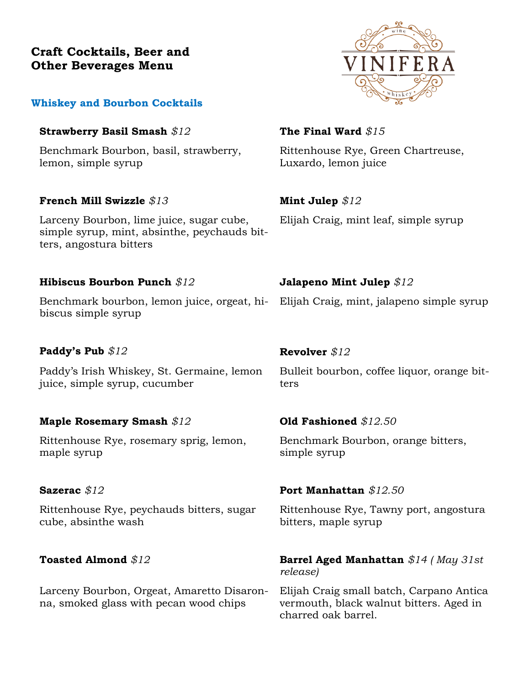# **Craft Cocktails, Beer and Other Beverages Menu**

### **Whiskey and Bourbon Cocktails**

### **Strawberry Basil Smash** *\$12* **The Final Ward** *\$15*

Benchmark Bourbon, basil, strawberry, lemon, simple syrup

### **French Mill Swizzle** *\$13* **Mint Julep** *\$12*

Larceny Bourbon, lime juice, sugar cube, simple syrup, mint, absinthe, peychauds bitters, angostura bitters

### **Hibiscus Bourbon Punch** *\$12* **Jalapeno Mint Julep** *\$12*

Benchmark bourbon, lemon juice, orgeat, hibiscus simple syrup

# **Paddy's Pub** *\$12* **Revolver** *\$12*

Paddy's Irish Whiskey, St. Germaine, lemon juice, simple syrup, cucumber

# **Maple Rosemary Smash** *\$12* **Old Fashioned** *\$12.50*

Rittenhouse Rye, rosemary sprig, lemon, maple syrup

Rittenhouse Rye, peychauds bitters, sugar cube, absinthe wash

Larceny Bourbon, Orgeat, Amaretto Disaronna, smoked glass with pecan wood chips

Rittenhouse Rye, Green Chartreuse, Luxardo, lemon juice

Elijah Craig, mint leaf, simple syrup

Elijah Craig, mint, jalapeno simple syrup

Bulleit bourbon, coffee liquor, orange bitters

Benchmark Bourbon, orange bitters, simple syrup

### **Sazerac** *\$12* **Port Manhattan** *\$12.50*

Rittenhouse Rye, Tawny port, angostura bitters, maple syrup

### **Toasted Almond** \$12 **Barrel Aged Manhattan** \$14 (May 31st *release)*

Elijah Craig small batch, Carpano Antica vermouth, black walnut bitters. Aged in charred oak barrel.

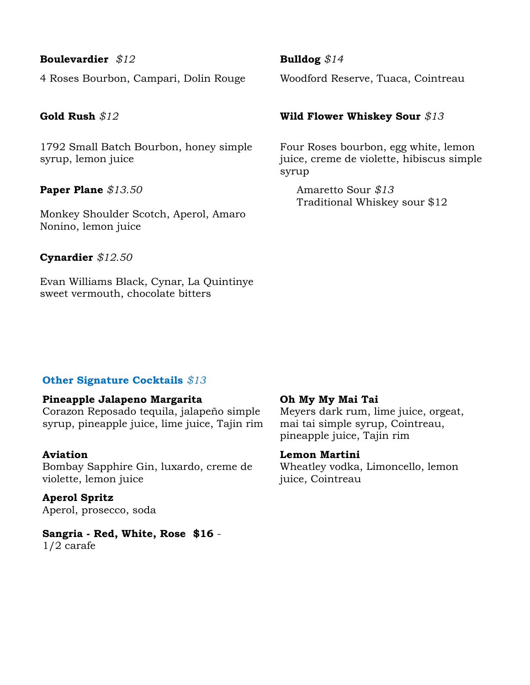### **Boulevardier** *\$12* **Bulldog** *\$14*

4 Roses Bourbon, Campari, Dolin Rouge Woodford Reserve, Tuaca, Cointreau

1792 Small Batch Bourbon, honey simple syrup, lemon juice

**Paper Plane** *\$13.50*

Monkey Shoulder Scotch, Aperol, Amaro Nonino, lemon juice

**Cynardier** *\$12.50*

Evan Williams Black, Cynar, La Quintinye sweet vermouth, chocolate bitters

### **Gold Rush** *\$12* **Wild Flower Whiskey Sour** *\$13*

Four Roses bourbon, egg white, lemon juice, creme de violette, hibiscus simple syrup

 Amaretto Sour *\$13* Traditional Whiskey sour \$12

# **Other Signature Cocktails** *\$13*

### **Pineapple Jalapeno Margarita**

Corazon Reposado tequila, jalapeño simple syrup, pineapple juice, lime juice, Tajin rim

### **Aviation**

Bombay Sapphire Gin, luxardo, creme de violette, lemon juice

**Aperol Spritz** Aperol, prosecco, soda

**Sangria - Red, White, Rose \$16** - 1/2 carafe

### **Oh My My Mai Tai**

Meyers dark rum, lime juice, orgeat, mai tai simple syrup, Cointreau, pineapple juice, Tajin rim

### **Lemon Martini**

Wheatley vodka, Limoncello, lemon juice, Cointreau